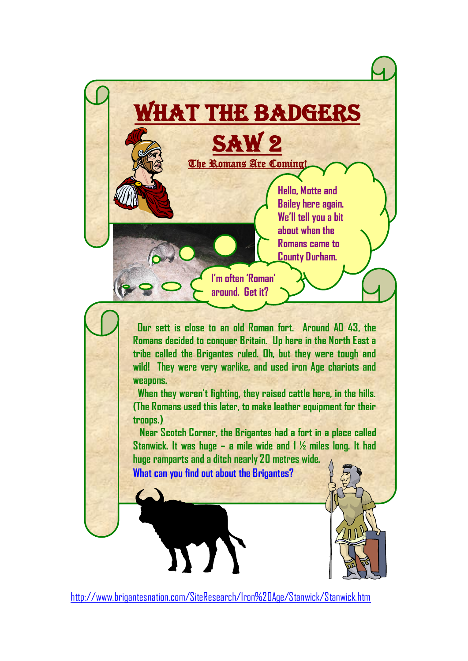

<http://www.brigantesnation.com/SiteResearch/Iron%20Age/Stanwick/Stanwick.htm>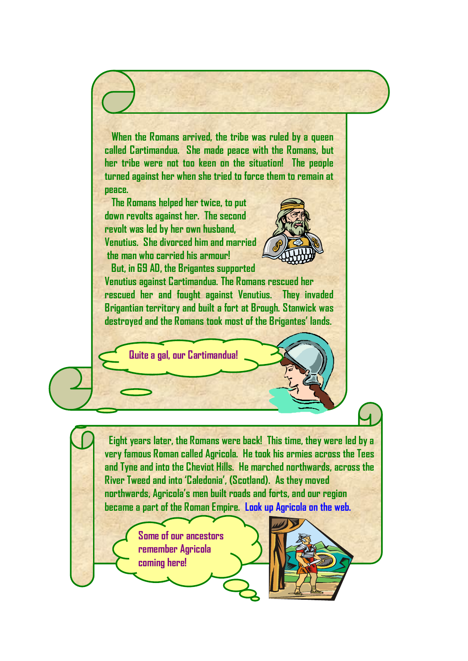**When the Romans arrived, the tribe was ruled by a queen called Cartimandua. She made peace with the Romans, but her tribe were not too keen on the situation! The people turned against her when she tried to force them to remain at peace.**

 **The Romans helped her twice, to put down revolts against her. The second revolt was led by her own husband, Venutius. She divorced him and married the man who carried his armour!**

 **But, in 69 AD, the Brigantes supported**



**Venutius against Cartimandua. The Romans rescued her rescued her and fought against Venutius. They invaded Brigantian territory and built a fort at Brough. Stanwick was destroyed and the Romans took most of the Brigantes' lands.**

**Quite a gal, our Cartimandua!**

 **Eight years later, the Romans were back! This time, they were led by a very famous Roman called Agricola. He took his armies across the Tees and Tyne and into the Cheviot Hills. He marched northwards, across the River Tweed and into 'Caledonia', (Scotland). As they moved northwards, Agricola's men built roads and forts, and our region became a part of the Roman Empire. Look up Agricola on the web.**

> **Some of our ancestors remember Agricola coming here!**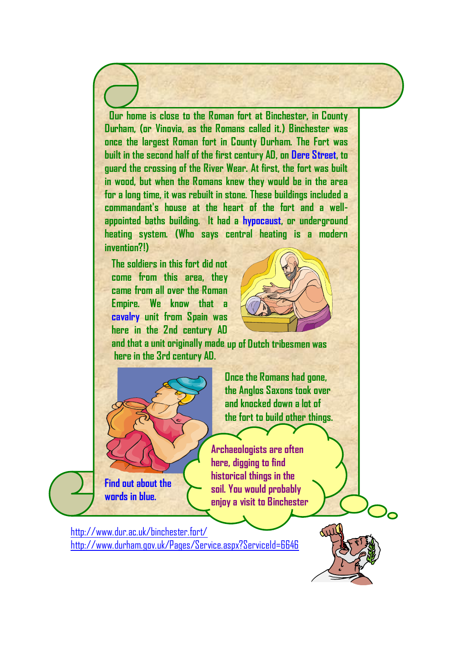**Our home is close to the Roman fort at Binchester, in County Durham, (or Vinovia, as the Romans called it.) Binchester was once the largest Roman fort in County Durham. The Fort was built in the second half of the first century AD, on Dere Street, to guard the crossing of the River Wear. At first, the fort was built in wood, but when the Romans knew they would be in the area for a long time, it was rebuilt in stone. These buildings included a commandant's house at the heart of the fort and a wellappointed baths building. It had a hypocaust, or underground heating system. (Who says central heating is a modern invention?!)**

**The soldiers in this fort did not come from this area, they came from all over the Roman Empire. We know that a cavalry unit from Spain was here in the 2nd century AD**



and that a unit originally made up of Dutch tribesmen was **here in the 3rd century AD.**



**Once the Romans had gone, the Anglos Saxons took over and knocked down a lot of the fort to build other things.**

**words in blue.**

**Archaeologists are often here, digging to find historical things in the soil. You would probably enjoy a visit to Binchester**

<http://www.dur.ac.uk/binchester.fort/> <http://www.durham.gov.uk/Pages/Service.aspx?ServiceId=6646>